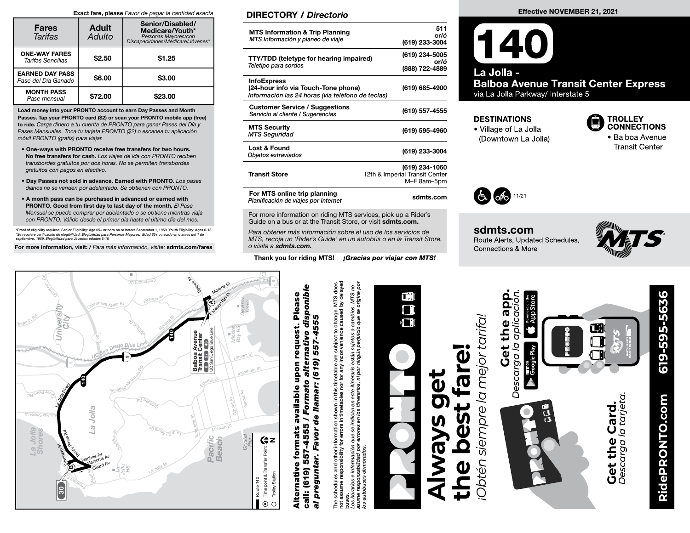#### Exact fare, please Favor de pagar la cantidad exacta

| <b>Fares</b><br>Tarifas                       | <b>Adult</b><br>Adulto | Senior/Disabled/<br>Medicare/Youth*<br>Personas Mayores/con<br>Discapacidades/Medicare/Jóvenes* |  |
|-----------------------------------------------|------------------------|-------------------------------------------------------------------------------------------------|--|
| <b>ONE-WAY FARES</b><br>Tarifas Sencillas     | \$2.50                 | \$1.25                                                                                          |  |
| <b>EARNED DAY PASS</b><br>Pase del Día Ganado | \$6.00                 | \$3.00                                                                                          |  |
| <b>MONTH PASS</b><br>Pase mensual             | \$72.00                | \$23.00                                                                                         |  |

Load money into your PRONTO account to earn Day Passes and Month Passes. Tap your PRONTO card (\$2) or scan your PRONTO mobile app (free) to ride. Carga dinero a tu cuenta de PRONTO para ganar Pases del Día y Pases Mensuales. Toca tu tarjeta PRONTO (\$2) o escanea tu aplicación móvil PRONTO (gratis) para viajar.

- One-ways with PRONTO receive free transfers for two hours. No free transfers for cash. Los viajes de ida con PRONTO reciben transbordes gratuitos por dos horas. No se permiten transbordes gratuitos con pagos en efectivo.
- Day Passes not sold in advance. Earned with PRONTO. Los pases diarios no se venden por adelantado. Se obtienen con PRONTO.
- A month pass can be purchased in advanced or earned with PRONTO. Good from first day to last day of the month. El Pase Mensual se puede comprar por adelantado o se obtiene mientras viaja con PRONTO. Válido desde el primer día hasta el último día del mes.

\*Proof of eligibility required. Senior Eligibility: Age 65+ or born on or before September 1, 1959. Youth Eligibility: Ages 6-18<br>\*Se requiere verificación de elegibilidad. Elegibilidad para Personas Mayores: Edad 65+ o nac

For more information, visit: / Para más información, visite: sdmts.com/fares C<sup>l</sup>air<sup>e</sup>mo<sup>n</sup><sup>t</sup> <sup>D</sup><sup>r</sup>

## DIRECTORY / Directorio

| <b>MTS Information &amp; Trip Planning</b><br>MTS Información y planeo de viaje                                | 511<br>or/ó<br>(619) 233-3004                                   |
|----------------------------------------------------------------------------------------------------------------|-----------------------------------------------------------------|
| <b>TTY/TDD (teletype for hearing impaired)</b><br>Teletipo para sordos                                         | (619) 234-5005<br>or/ó<br>(888) 722-4889                        |
| <b>InfoExpress</b><br>(24-hour info via Touch-Tone phone)<br>Información las 24 horas (via teléfono de teclas) | (619) 685-4900                                                  |
| <b>Customer Service / Suggestions</b><br>Servicio al cliente / Sugerencias                                     | (619) 557-4555                                                  |
| <b>MTS Security</b><br><b>MTS Seguridad</b>                                                                    | (619) 595-4960                                                  |
| <b>Lost &amp; Found</b><br>Objetos extraviados                                                                 | (619) 233-3004                                                  |
| <b>Transit Store</b>                                                                                           | (619) 234-1060<br>12th & Imperial Transit Center<br>M-F 8am-5pm |
| For MTS online trip planning<br>Planificación de viajes por Internet                                           | sdmts.com                                                       |

For more information on riding MTS services, pick up a Rider's Guide on a bus or at the Transit Store, or visit sdmts.com.

Para obtener más información sobre el uso de los servicios de MTS, recoja un 'Rider's Guide' en un autobús o en la Transit Store, o visita a sdmts.com.

Thank you for riding MTS! *¡Gracias por viajar con MTS!* 

#### Effective NOVEMBER 21, 2021

## $\bm{140}$ La Jolla -**Balboa Avenue Transit Center Express** via La Jolla Parkway/ Interstate 5

#### **DESTINATIONS**

• Village of La Jolla (Downtown La Jolla)



· Balboa Avenue **Transit Center** 



sdmts.com Route Alerts, Updated Schedules, Connections & More



**RidePRONTO.com 619-595-5636**



# call: (619) 557-4555 / Formato alternativo disponible available upon request. Please<br>/ Formato alternativo disponible Alternative formats available upon request. Please de llamar: (619) 557-4555 al preguntar. Favor de llamar: (619) 557-4555 upon request. available 557-4555 **Alternative formats** preguntar. Favor call: (619)  $\vec{a}$

s schedules and other information shown in this timetable are subject to change. MTS does<br>assume responsibility for errors in timetables nor for any inconvenience caused by delayed<br>shorarios e información que se indican en not assume responsibility for errors in timetables nor for any inconvenience caused by delayed The schedules and other information shown in this timetable are subject to change. MTS does یّة<br>E

Los horarios e información que se indican en este itinerario están sujetos a cambios. MTS no asume responsabilidad por errores en los itinerarios, ni por ningún perjuicio que se origine por los autobuses demorados.



# $\mathbf{\vec{0}}$ **the best fare!** far **Always get**   $\mathbf{\bar{d}}$ pest **5<br>万** Ø

Obtén siempre la mejor tarifa. *én siempre la mejor tarifa!*